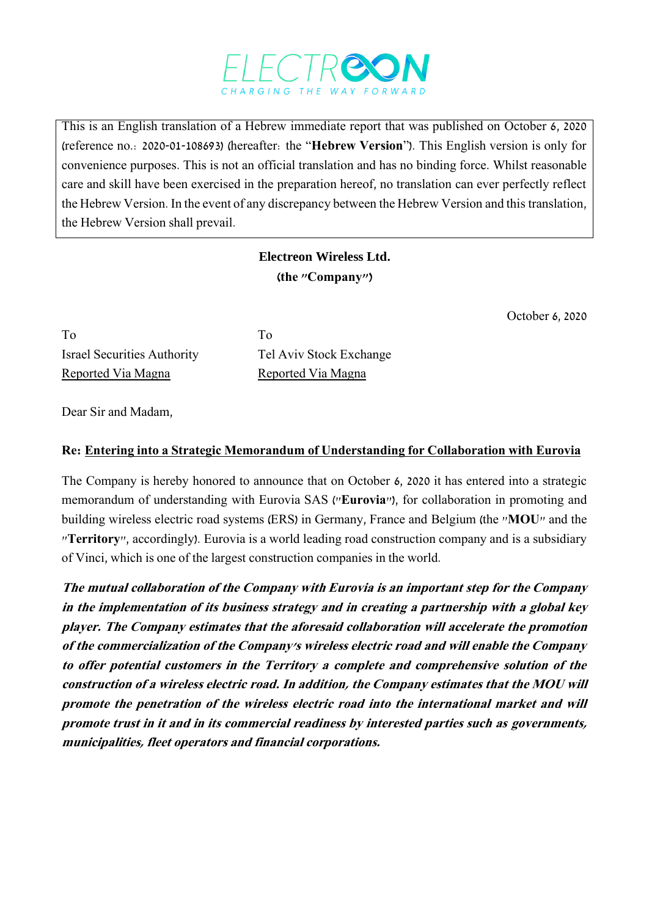

This is an English translation of a Hebrew immediate report that was published on October 6, 2020 (reference no.: 2020-01-108693) (hereafter: the "**Hebrew Version**"). This English version is only for convenience purposes. This is not an official translation and has no binding force. Whilst reasonable care and skill have been exercised in the preparation hereof, no translation can ever perfectly reflect the Hebrew Version. In the event of any discrepancy between the Hebrew Version and this translation, the Hebrew Version shall prevail.

## **Electreon Wireless Ltd. )the "Company"(**

October 6, 2020

To To Israel Securities Authority Tel Aviv Stock Exchange Reported Via Magna<br>
Reported Via Magna

Dear Sir and Madam,

## **Re: Entering into a Strategic Memorandum of Understanding for Collaboration with Eurovia**

The Company is hereby honored to announce that on October 6, 2020 it has entered into a strategic memorandum of understanding with Eurovia SAS ("**Eurovia**"), for collaboration in promoting and building wireless electric road systems (ERS) in Germany, France and Belgium (the "**MOU**" and the "**Territory**", accordingly). Eurovia is a world leading road construction company and is a subsidiary of Vinci, which is one of the largest construction companies in the world.

**The mutual collaboration of the Company with Eurovia is an important step for the Company in the implementation of its business strategy and in creating a partnership with a global key player. The Company estimates that the aforesaid collaboration will accelerate the promotion of the commercialization of the Company's wireless electric road and will enable the Company to offer potential customers in the Territory a complete and comprehensive solution of the construction of a wireless electric road. In addition, the Company estimates that the MOU will promote the penetration of the wireless electric road into the international market and will promote trust in it and in its commercial readiness by interested parties such as governments, municipalities, fleet operators and financial corporations.**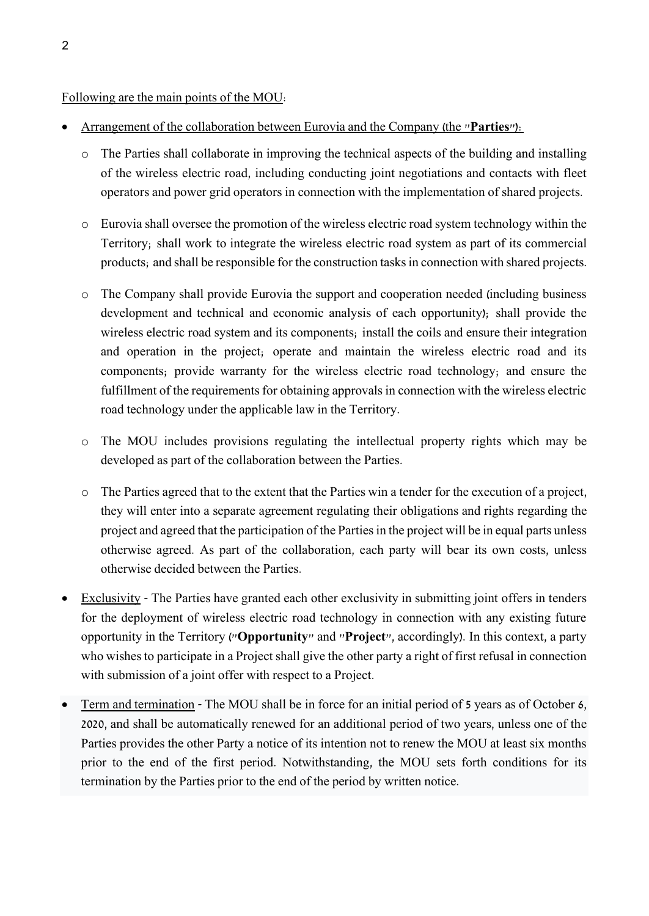## Following are the main points of the MOU:

- Arrangement of the collaboration between Eurovia and the Company (the "**Parties**"):
	- o The Parties shall collaborate in improving the technical aspects of the building and installing of the wireless electric road, including conducting joint negotiations and contacts with fleet operators and power grid operators in connection with the implementation of shared projects.
	- o Eurovia shall oversee the promotion of the wireless electric road system technology within the Territory; shall work to integrate the wireless electric road system as part of its commercial products; and shall be responsible for the construction tasksin connection with shared projects.
	- o The Company shall provide Eurovia the support and cooperation needed (including business development and technical and economic analysis of each opportunity); shall provide the wireless electric road system and its components; install the coils and ensure their integration and operation in the project; operate and maintain the wireless electric road and its components; provide warranty for the wireless electric road technology; and ensure the fulfillment of the requirements for obtaining approvals in connection with the wireless electric road technology under the applicable law in the Territory.
	- o The MOU includes provisions regulating the intellectual property rights which may be developed as part of the collaboration between the Parties.
	- o The Parties agreed that to the extent that the Parties win a tender for the execution of a project, they will enter into a separate agreement regulating their obligations and rights regarding the project and agreed that the participation of the Parties in the project will be in equal parts unless otherwise agreed. As part of the collaboration, each party will bear its own costs, unless otherwise decided between the Parties.
- Exclusivity The Parties have granted each other exclusivity in submitting joint offers in tenders for the deployment of wireless electric road technology in connection with any existing future opportunity in the Territory ("**Opportunity**" and "**Project**", accordingly). In this context, a party who wishes to participate in a Project shall give the other party a right of first refusal in connection with submission of a joint offer with respect to a Project.
- Term and termination The MOU shall be in force for an initial period of 5 years as of October 6, 2020, and shall be automatically renewed for an additional period of two years, unless one of the Parties provides the other Party a notice of its intention not to renew the MOU at least six months prior to the end of the first period. Notwithstanding, the MOU sets forth conditions for its termination by the Parties prior to the end of the period by written notice.